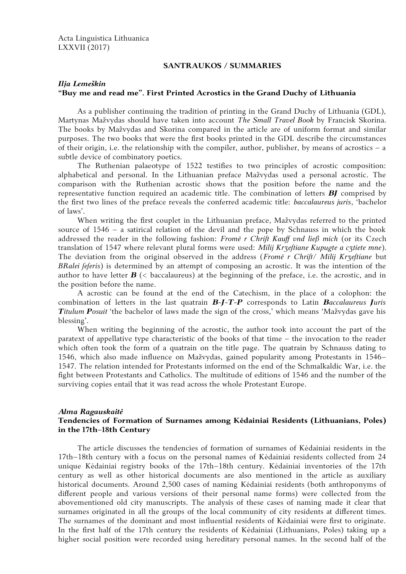Acta Linguistica Lithuanica LXXVII (2017)

#### **SANTRAUKOS / SUMMARIES**

## *Ilja Lemeškin* **"Buy me and read me". First Printed Acrostics in the Grand Duchy of Lithuania**

As a publisher continuing the tradition of printing in the Grand Duchy of Lithuania (GDL), Martynas Mažvydas should have taken into account *The Small Travel Book* by Francisk Skorina. The books by Mažvydas and Skorina compared in the article are of uniform format and similar purposes. The two books that were the first books printed in the GDL describe the circumstances of their origin, i.e. the relationship with the compiler, author, publisher, by means of acrostics  $-$  a subtle device of combinatory poetics.

The Ruthenian palaeotype of 1522 testifies to two principles of acrostic composition: alphabetical and personal. In the Lithuanian preface Mažvydas used a personal acrostic. The comparison with the Ruthenian acrostic shows that the position before the name and the representative function required an academic title. The combination of letters *BJ* comprised by the first two lines of the preface reveals the conferred academic title: *baccalaureus juris*, 'bachelor of laws'.

When writing the first couplet in the Lithuanian preface, Mažvydas referred to the printed source of 1546 – a satirical relation of the devil and the pope by Schnauss in which the book addressed the reader in the following fashion: *Fromē r Chriʃt Kauff vnd ließ mich* (or its Czech translation of 1547 where relevant plural forms were used: *Milij Krʒeʃtiane Kupugte a cʒtiete mne*). The deviation from the original observed in the address (*Fromē r Chriʃt/ Milij Krʒeʃtiane* but *BRalei ʃeʃeris*) is determined by an attempt of composing an acrostic. It was the intention of the author to have letter  $\bm{B}$  (< baccalaureus) at the beginning of the preface, i.e. the acrostic, and in the position before the name.

A acrostic can be found at the end of the Catechism, in the place of a colophon: the combination of letters in the last quatrain *B-J-T-P* corresponds to Latin *Baccalaureus Juris Titulum Posuit* 'the bachelor of laws made the sign of the cross,' which means 'Mažvydas gave his blessing'.

When writing the beginning of the acrostic, the author took into account the part of the paratext of appellative type characteristic of the books of that time – the invocation to the reader which often took the form of a quatrain on the title page. The quatrain by Schnauss dating to 1546, which also made influence on Mažvydas, gained popularity among Protestants in 1546– 1547. The relation intended for Protestants informed on the end of the Schmalkaldic War, i.e. the fight between Protestants and Catholics. The multitude of editions of 1546 and the number of the surviving copies entail that it was read across the whole Protestant Europe.

#### *Alma Ragauskaitė*

## **Tendencies of Formation of Surnames among Kėdainiai Residents (Lithuanians, Poles) in the 17th–18th Century**

The article discusses the tendencies of formation of surnames of Kėdainiai residents in the 17th–18th century with a focus on the personal names of Kėdainiai residents collected from 24 unique Kėdainiai registry books of the 17th–18th century. Kėdainiai inventories of the 17th century as well as other historical documents are also mentioned in the article as auxiliary historical documents. Around 2,500 cases of naming Kėdainiai residents (both anthroponyms of different people and various versions of their personal name forms) were collected from the abovementioned old city manuscripts. The analysis of these cases of naming made it clear that surnames originated in all the groups of the local community of city residents at different times. The surnames of the dominant and most influential residents of Kėdainiai were first to originate. In the first half of the 17th century the residents of Kėdainiai (Lithuanians, Poles) taking up a higher social position were recorded using hereditary personal names. In the second half of the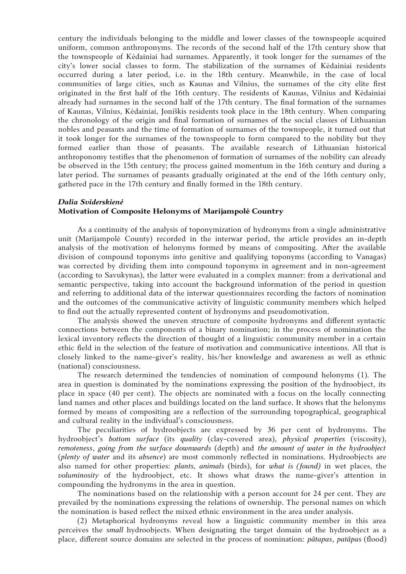century the individuals belonging to the middle and lower classes of the townspeople acquired uniform, common anthroponyms. The records of the second half of the 17th century show that the townspeople of Kėdainiai had surnames. Apparently, it took longer for the surnames of the city's lower social classes to form. The stabilization of the surnames of Kėdainiai residents occurred during a later period, i.e. in the 18th century. Meanwhile, in the case of local communities of large cities, such as Kaunas and Vilnius, the surnames of the city elite first originated in the first half of the 16th century. The residents of Kaunas, Vilnius and Kėdainiai already had surnames in the second half of the 17th century. The final formation of the surnames of Kaunas, Vilnius, Kėdainiai, Joniškis residents took place in the 18th century. When comparing the chronology of the origin and final formation of surnames of the social classes of Lithuanian nobles and peasants and the time of formation of surnames of the townspeople, it turned out that it took longer for the surnames of the townspeople to form compared to the nobility but they formed earlier than those of peasants. The available research of Lithuanian historical anthroponomy testifies that the phenomenon of formation of surnames of the nobility can already be observed in the 15th century; the process gained momentum in the 16th century and during a later period. The surnames of peasants gradually originated at the end of the 16th century only, gathered pace in the 17th century and finally formed in the 18th century.

## *Dalia Sviderskienė* **Motivation of Composite Helonyms of Marijampolė Country**

As a continuity of the analysis of toponymization of hydronyms from a single administrative unit (Marijampolė County) recorded in the interwar period, the article provides an in-depth analysis of the motivation of helonyms formed by means of compositing. After the available division of compound toponyms into genitive and qualifying toponyms (according to Vanagas) was corrected by dividing them into compound toponyms in agreement and in non-agreement (according to Savukynas), the latter were evaluated in a complex manner: from a derivational and semantic perspective, taking into account the background information of the period in question and referring to additional data of the interwar questionnaires recording the factors of nomination and the outcomes of the communicative activity of linguistic community members which helped to find out the actually represented content of hydronyms and pseudomotivation.

The analysis showed the uneven structure of composite hydronyms and different syntactic connections between the components of a binary nomination; in the process of nomination the lexical inventory reflects the direction of thought of a linguistic community member in a certain ethic field in the selection of the feature of motivation and communicative intentions. All that is closely linked to the name-giver's reality, his/her knowledge and awareness as well as ethnic (national) consciousness.

The research determined the tendencies of nomination of compound helonyms (1). The area in question is dominated by the nominations expressing the position of the hydroobject, its place in space (40 per cent). The objects are nominated with a focus on the locally connecting land names and other places and buildings located on the land surface. It shows that the helonyms formed by means of compositing are a reflection of the surrounding topographical, geographical and cultural reality in the individual's consciousness.

The peculiarities of hydroobjects are expressed by 36 per cent of hydronyms. The hydroobject's *bottom surface* (its *quality* (clay-covered area), *physical properties* (viscosity), *remoteness*, *going from the surface downwards* (depth) and *the amount of water in the hydroobject* (*plenty of water* and its *absence*) are most commonly reflected in nominations. Hydroobjects are also named for other properties: *plants, animals* (birds), for *what is (found)* in wet places, the *voluminosity* of the hydroobject, etc. It shows what draws the name-giver's attention in compounding the hydronyms in the area in question.

The nominations based on the relationship with a person account for 24 per cent. They are prevailed by the nominations expressing the relations of ownership. The personal names on which the nomination is based reflect the mixed ethnic environment in the area under analysis.

(2) Metaphorical hydronyms reveal how a linguistic community member in this area perceives the *small* hydroobjects. When designating the target domain of the hydroobject as a place, different source domains are selected in the process of nomination: *pãtapas*, *patãpas* (flood)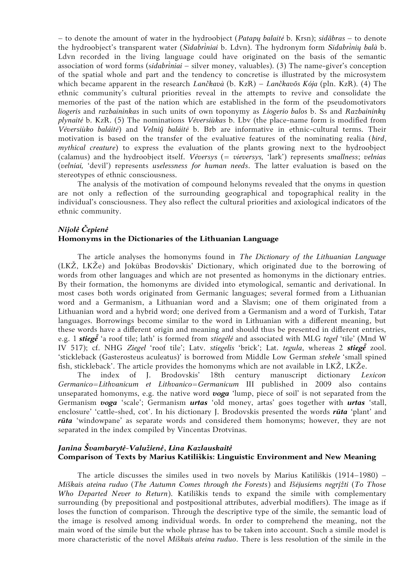– to denote the amount of water in the hydroobject (*Patapų balaitė* b. Krsn); *sidãbras* – to denote the hydroobject's transparent water (*Sidabriniai* b. Ldvn). The hydronym form *Sidabriniu balà* b. Ldvn recorded in the living language could have originated on the basis of the semantic association of word forms (sidabriniai – silver money, valuables). (3) The name-giver's conception of the spatial whole and part and the tendency to concretise is illustrated by the microsystem which became apparent in the research *Lančkavà* (b. KzR) – *Lančkavõs Kója* (pln. KzR). (4) The ethnic community's cultural priorities reveal in the attempts to revive and consolidate the memories of the past of the nation which are established in the form of the pseudomotivators *liogeris* and *razbaininkas* in such units of own toponymy as *Liogerio balos* b. Ss and *Razbaininkų plynaitė* b. KzR. (5) The nominations *Vėversiùkas* b. Lbv (the place-name form is modified from Vėversiùko baláitė) and Velnių baláitė b. Brb are informative in ethnic-cultural terms. Their motivation is based on the transfer of the evaluative features of the nominating realia (*bird*, *mythical creature*) to express the evaluation of the plants growing next to the hydroobject (calamus) and the hydroobject itself. *Vėversys* (= *vieversys,* 'lark') represents *smallness*; *velnias* (*velniai,* 'devil') represents *uselessness for human needs*. The latter evaluation is based on the stereotypes of ethnic consciousness.

The analysis of the motivation of compound helonyms revealed that the onyms in question are not only a reflection of the surrounding geographical and topographical reality in the individual's consciousness. They also reflect the cultural priorities and axiological indicators of the ethnic community.

# *Nijolė Čepienė* **Homonyms in the Dictionaries of the Lithuanian Language**

The article analyses the homonyms found in *The Dictionary of the Lithuanian Language* (LKŽ, LKŽe) and Jokūbas Brodovskis' Dictionary, which originated due to the borrowing of words from other languages and which are not presented as homonyms in the dictionary entries. By their formation, the homonyms are divided into etymological, semantic and derivational. In most cases both words originated from Germanic languages; several formed from a Lithuanian word and a Germanism, a Lithuanian word and a Slavism; one of them originated from a Lithuanian word and a hybrid word; one derived from a Germanism and a word of Turkish, Tatar languages. Borrowings become similar to the word in Lithuanian with a different meaning, but these words have a different origin and meaning and should thus be presented in different entries, e.g. 1 *stieg* 'a roof tile; lath' is formed from *stiegėlė* and associated with MLG *tegel* 'tile' (Mnd W IV 517); cf. NHG *Ziegel* 'roof tile'; Latv. *stiegelis* 'brick'; Lat. *tegula*, whereas 2 *stiege* zool. 'stickleback (Gasterosteus aculeatus)' is borrowed from Middle Low German *stekele* 'small spined fish, stickleback'. The article provides the homonyms which are not available in LKŽ, LKŽe.

The index of J. Brodovskis' 18th century manuscript dictionary *Lexicon Germanico*=*Lithvanicum et Lithvanico*=*Germanicum* III published in 2009 also contains unseparated homonyms, e.g. the native word *voga* 'lump, piece of soil' is not separated from the Germanism *voga* 'scale'; Germanism *urtas* 'old money, artas' goes together with *urtas* 'stall, enclosure' 'cattle-shed, cot'. In his dictionary J. Brodovskis presented the words *rūta* 'plant' and *rūta* 'windowpane' as separate words and considered them homonyms; however, they are not separated in the index compiled by Vincentas Drotvinas.

## *Janina Švambarytė-Valužienė***,** *Lina Kazlauskaitė* **Comparison of Texts by Marius Katiliškis: Linguistic Environment and New Meaning**

The article discusses the similes used in two novels by Marius Katiliškis (1914–1980) – *Miškais ateina ruduo* (*The Autumn Comes through the Forests*) and *Išėjusiems negrįžti* (*To Those Who Departed Never to Return*). Katiliškis tends to expand the simile with complementary surrounding (by prepositional and postpositional attributes, adverbial modifiers). The image as if loses the function of comparison. Through the descriptive type of the simile, the semantic load of the image is resolved among individual words. In order to comprehend the meaning, not the main word of the simile but the whole phrase has to be taken into account. Such a simile model is more characteristic of the novel *Miškais ateina ruduo*. There is less resolution of the simile in the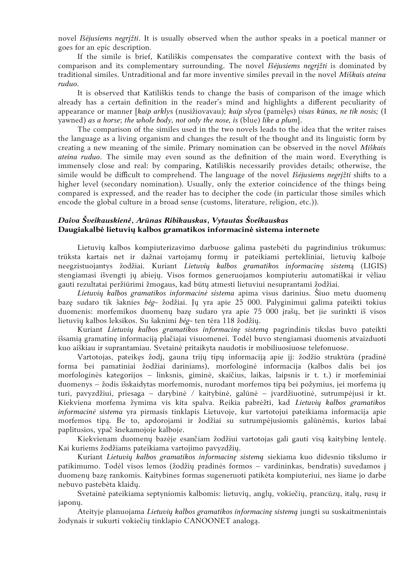novel *Išėjusiems negrįžti*. It is usually observed when the author speaks in a poetical manner or goes for an epic description.

If the simile is brief, Katiliškis compensates the comparative context with the basis of comparison and its complementary surrounding. The novel *Išėjusiems negrįžti* is dominated by traditional similes. Untraditional and far more inventive similes prevail in the novel *Miškais ateina ruduo*.

It is observed that Katiliškis tends to change the basis of comparison of the image which already has a certain definition in the reader's mind and highlights a different peculiarity of appearance or manner [*kaip arklys* (nusižiovavau); *kaip slyva* (pamėlęs) *visas kūnas, ne tik nosis;* (I yawned) *as a horse*; *the whole body, not only the nose, is* (blue) *like a plum*].

The comparison of the similes used in the two novels leads to the idea that the writer raises the language as a living organism and changes the result of the thought and its linguistic form by creating a new meaning of the simile. Primary nomination can be observed in the novel *Miškais ateina ruduo*. The simile may even sound as the definition of the main word. Everything is immensely close and real: by comparing, Katiliškis necessarily provides details; otherwise, the simile would be difficult to comprehend. The language of the novel *Išėjusiems negrįžti* shifts to a higher level (secondary nomination). Usually, only the exterior coincidence of the things being compared is expressed, and the reader has to decipher the code (in particular those similes which encode the global culture in a broad sense (customs, literature, religion, etc.)).

# *Daiva Šveikauskienė***,** *Arūnas Ribikauskas***,** *Vytautas Šveikauskas* **Daugiakalbė lietuvių kalbos gramatikos informacinė sistema internete**

Lietuvių kalbos kompiuterizavimo darbuose galima pastebėti du pagrindinius trūkumus: trūksta kartais net ir dažnai vartojamų formų ir pateikiami pertekliniai, lietuvių kalboje neegzistuojantys žodžiai. Kuriant *Lietuvių kalbos gramatikos informacin*ę *sistem*ą (LIGIS) stengiamasi išvengti jų abiejų. Visos formos generuojamos kompiuteriu automatiškai ir vėliau gauti rezultatai peržiūrimi žmogaus, kad būtų atmesti lietuviui nesuprantami žodžiai.

*Lietuvių kalbos gramatikos informacinė sistema* apima visus darinius. Šiuo metu duomenų bazę sudaro tik šaknies *bėg-* žodžiai. Jų yra apie 25 000. Palyginimui galima pateikti tokius duomenis: morfemikos duomenų bazę sudaro yra apie 75 000 įrašų, bet jie surinkti iš visos lietuvių kalbos leksikos. Su šaknimi *bėg-* ten tėra 118 žodžių.

Kuriant *Lietuvių kalbos gramatikos informacinę sistemą* pagrindinis tikslas buvo pateikti išsamią gramatinę informaciją plačiajai visuomenei. Todėl buvo stengiamasi duomenis atvaizduoti kuo aiškiau ir suprantamiau. Svetainė pritaikyta naudotis ir mobiliuosiuose telefonuose.

Vartotojas, pateikęs žodį, gauna trijų tipų informaciją apie jį: žodžio struktūra (pradinė forma bei pamatiniai žodžiai dariniams), morfologinė informacija (kalbos dalis bei jos morfologinės kategorijos – linksnis, giminė, skaičius, laikas, laipsnis ir t. t.) ir morfeminiai duomenys – žodis išskaidytas morfemomis, nurodant morfemos tipą bei požymius, jei morfema jų turi, pavyzdžiui, priesaga – darybinė / kaitybinė, galūnė – įvardžiuotinė, sutrumpėjusi ir kt. Kiekviena morfema žymima vis kita spalva. Reikia pabrėžti, kad *Lietuvių kalbos gramatikos informacinė sistema* yra pirmasis tinklapis Lietuvoje, kur vartotojui pateikiama informacija apie morfemos tipą. Be to, apdorojami ir žodžiai su sutrumpėjusiomis galūnėmis, kurios labai paplitusios, ypač šnekamojoje kalboje.

Kiekvienam duomenų bazėje esančiam žodžiui vartotojas gali gauti visą kaitybinę lentelę. Kai kuriems žodžiams pateikiama vartojimo pavyzdžių.

Kuriant *Lietuvių kalbos gramatikos informacinę sistemą* siekiama kuo didesnio tikslumo ir patikimumo. Todėl visos lemos (žodžių pradinės formos – vardininkas, bendratis) suvedamos į duomenų bazę rankomis. Kaitybines formas sugeneruoti patikėta kompiuteriui, nes šiame jo darbe nebuvo pastebėta klaidų.

Svetainė pateikiama septyniomis kalbomis: lietuvių, anglų, vokiečių, prancūzų, italų, rusų ir japonų.

Ateityje planuojama *Lietuvių kalbos gramatikos informacinę sistemą* jungti su suskaitmenintais žodynais ir sukurti vokiečių tinklapio CANOONET analogą.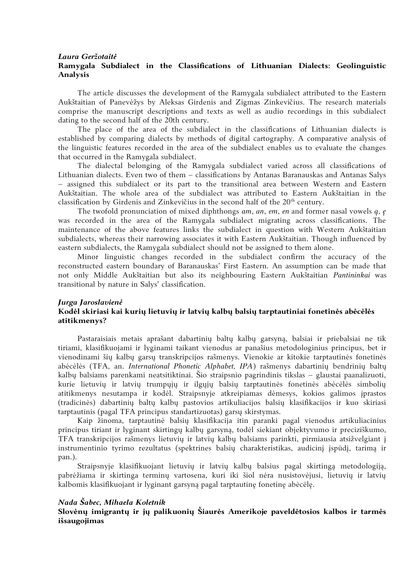#### *Laura Geržotaitė*

# **Ramygala Subdialect in the Classifications of Lithuanian Dialects: Geolinguistic Analysis**

The article discusses the development of the Ramygala subdialect attributed to the Eastern Aukštaitian of Panevėžys by Aleksas Girdenis and Zigmas Zinkevičius. The research materials comprise the manuscript descriptions and texts as well as audio recordings in this subdialect dating to the second half of the 20th century.

The place of the area of the subdialect in the classifications of Lithuanian dialects is established by comparing dialects by methods of digital cartography. A comparative analysis of the linguistic features recorded in the area of the subdialect enables us to evaluate the changes that occurred in the Ramygala subdialect.

The dialectal belonging of the Ramygala subdialect varied across all classifications of Lithuanian dialects. Even two of them – classifications by Antanas Baranauskas and Antanas Salys – assigned this subdialect or its part to the transitional area between Western and Eastern Aukštaitian. The whole area of the subdialect was attributed to Eastern Aukštaitian in the classification by Girdenis and Zinkevičius in the second half of the 20<sup>th</sup> century.

The twofold pronunciation of mixed diphthongs *am*, *an*, *em*, *en* and former nasal vowels *ą*, *ę* was recorded in the area of the Ramygala subdialect migrating across classifications. The maintenance of the above features links the subdialect in question with Western Aukštaitian subdialects, whereas their narrowing associates it with Eastern Aukštaitian. Though influenced by eastern subdialects, the Ramygala subdialect should not be assigned to them alone.

Minor linguistic changes recorded in the subdialect confirm the accuracy of the reconstructed eastern boundary of Baranauskas' First Eastern. An assumption can be made that not only Middle Aukštaitian but also its neighbouring Eastern Aukštaitian *Pantininkai* was transitional by nature in Salys' classification.

## *Jurga Jaroslavienė* **Kodėl skiriasi kai kurių lietuvių ir latvių kalbų balsių tarptautiniai fonetinės abėcėlės atitikmenys?**

Pastaraisiais metais aprašant dabartinių baltų kalbų garsyną, balsiai ir priebalsiai ne tik tiriami, klasifikuojami ir lyginami taikant vienodus ar panašius metodologinius principus, bet ir vienodinami šių kalbų garsų transkripcijos rašmenys. Vienokie ar kitokie tarptautinės fonetinės abėcėlės (TFA, an. *International Phonetic Alphabet, IPA*) rašmenys dabartinių bendrinių baltų kalbų balsiams parenkami neatsitiktinai. Šio straipsnio pagrindinis tikslas – glaustai paanalizuoti, kurie lietuvių ir latvių trumpųjų ir ilgųjų balsių tarptautinės fonetinės abėcėlės simbolių atitikmenys nesutampa ir kodėl. Straipsnyje atkreipiamas dėmesys, kokios galimos įprastos (tradicinės) dabartinių baltų kalbų pastovios artikuliacijos balsių klasifikacijos ir kuo skiriasi tarptautinis (pagal TFA principus standartizuotas) garsų skirstymas.

Kaip žinoma, tarptautinė balsių klasifikacija itin paranki pagal vienodus artikuliacinius principus tiriant ir lyginant skirtingų kalbų garsyną, todėl siekiant objektyvumo ir preciziškumo, TFA transkripcijos rašmenys lietuvių ir latvių kalbų balsiams parinkti, pirmiausia atsižvelgiant į instrumentinio tyrimo rezultatus (spektrines balsių charakteristikas, audicinį įspūdį, tarimą ir pan.).

Straipsnyje klasifikuojant lietuvių ir latvių kalbų balsius pagal skirtingą metodologiją, pabrėžiama ir skirtinga terminų vartosena, kuri iki šiol nėra nusistovėjusi, lietuvių ir latvių kalbomis klasifikuojant ir lyginant garsyną pagal tarptautinę fonetinę abėcėlę.

#### *Nada Šabec, Mihaela Koletnik*

**Slovėnų imigrantų ir jų palikuonių Šiaurės Amerikoje paveldėtosios kalbos ir tarmės išsaugojimas**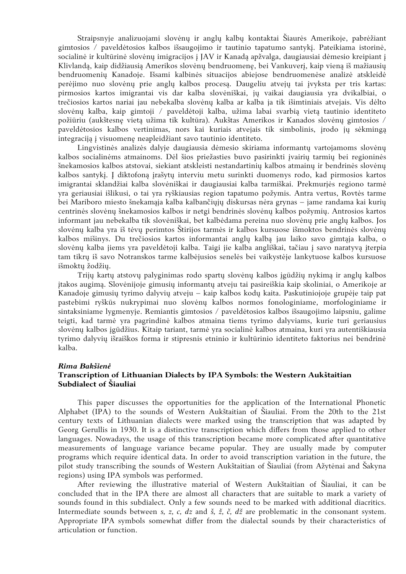Straipsnyje analizuojami slovėnų ir anglų kalbų kontaktai Šiaurės Amerikoje, pabrėžiant gimtosios / paveldėtosios kalbos išsaugojimo ir tautinio tapatumo santykį. Pateikiama istorinė, socialinė ir kultūrinė slovėnų imigracijos į JAV ir Kanadą apžvalga, daugiausiai dėmesio kreipiant į Klivlandą, kaip didžiausią Amerikos slovėnų bendruomenę, bei Vankuverį, kaip vieną iš mažiausių bendruomenių Kanadoje. Išsami kalbinės situacijos abiejose bendruomenėse analizė atskleidė perėjimo nuo slovėnų prie anglų kalbos procesą. Daugeliu atvejų tai įvyksta per tris kartas: pirmosios kartos imigrantai vis dar kalba slovėniškai, jų vaikai daugiausia yra dvikalbiai, o trečiosios kartos nariai jau nebekalba slovėnų kalba ar kalba ja tik išimtiniais atvejais. Vis dėlto slovėnų kalba, kaip gimtoji / paveldėtoji kalba, užima labai svarbią vietą tautinio identiteto požiūriu (aukštesnę vietą užima tik kultūra). Aukštas Amerikos ir Kanados slovėnų gimtosios / paveldėtosios kalbos vertinimas, nors kai kuriais atvejais tik simbolinis, įrodo jų sėkmingą integraciją į visuomenę neapleidžiant savo tautinio identiteto.

Lingvistinės analizės dalyje daugiausia dėmesio skiriama informantų vartojamoms slovėnų kalbos socialinėms atmainoms. Dėl šios priežasties buvo pasirinkti įvairių tarmių bei regioninės šnekamosios kalbos atstovai, siekiant atskleisti nestandartinių kalbos atmainų ir bendrinės slovėnų kalbos santykį. Į diktofoną įrašytų interviu metu surinkti duomenys rodo, kad pirmosios kartos imigrantai sklandžiai kalba slovėniškai ir daugiausiai kalba tarmiškai. Prekmurjės regiono tarmė yra geriausiai išlikusi, o tai yra ryškiausias region tapatumo požymis. Antra vertus, Rovtės tarme bei Mariboro miesto šnekamąja kalba kalbančiųjų diskursas nėra grynas – jame randama kai kurių centrinės slovėnų šnekamosios kalbos ir netgi bendrinės slovėnų kalbos požymių. Antrosios kartos informant jau nebekalba tik slovėniškai, bet kalbėdama pereina nuo slovėnų prie anglų kalbos. Jos slovėnų kalba yra iš tėvų perimtos Štirijos tarmės ir kalbos kursuose išmoktos bendrinės slovėnų kalbos mišinys. Du trečiosios kartos informantai anglų kalbą jau laiko savo gimtąja kalba, o slovėnų kalba jiems yra paveldėtoji kalba. Taigi jie kalba angliškai, tačiau į savo naratyvą įterpia tam tikrų iš savo Notranskos tarme kalbėjusios senelės bei vaikystėje lankytuose kalbos kursuose išmoktų žodžių.

Trijų kartų atstovų palyginimas rodo spartų slovėnų kalbos įgūdžių nykimą ir anglų kalbos įtakos augimą. Slovėnijoje gimusių informantų atveju tai pasireiškia kaip skoliniai, o Amerikoje ar Kanadoje gimusių tyrimo dalyvių atveju – kaip kalbos kodų kaita. Paskutiniojoje grupėje taip pat pastebimi ryškūs nukrypimai nuo slovėnų kalbos normos fonologiniame, morfologiniame ir sintaksiniame lygmenyje. Remiantis gimtosios / paveldėtosios kalbos išsaugojimo laipsniu, galime teigti, kad tarmė yra pagrindinė kalbos atmaina tiems tyrimo dalyviams, kurie turi geriausius slovėnų kalbos įgūdžius. Kitaip tariant, tarmė yra socialinė kalbos atmaina, kuri yra autentiškiausia tyrimo dalyvių išraiškos forma ir stipresnis etninio ir kultūrinio identiteto faktorius nei bendrinė kalba.

#### *Rima Bakšienė*

## **Transcription of Lithuanian Dialects by IPA Symbols: the Western Aukštaitian Subdialect of Šiauliai**

This paper discusses the opportunities for the application of the International Phonetic Alphabet (IPA) to the sounds of Western Aukštaitian of Šiauliai. From the 20th to the 21st century texts of Lithuanian dialects were marked using the transcription that was adapted by Georg Gerullis in 1930. It is a distinctive transcription which differs from those applied to other languages. Nowadays, the usage of this transcription became more complicated after quantitative measurements of language variance became popular. They are usually made by computer programs which require identical data. In order to avoid transcription variation in the future, the pilot study transcribing the sounds of Western Aukštaitian of Šiauliai (from Ažytėnai and Šakyna regions) using IPA symbols was performed.

After reviewing the illustrative material of Western Aukštaitian of Šiauliai, it can be concluded that in the IPA there are almost all characters that are suitable to mark a variety of sounds found in this subdialect. Only a few sounds need to be marked with additional diacritics. Intermediate sounds between *s, z, c, dz* and *š, ž, č, dž* are problematic in the consonant system. Appropriate IPA symbols somewhat differ from the dialectal sounds by their characteristics of articulation or function.